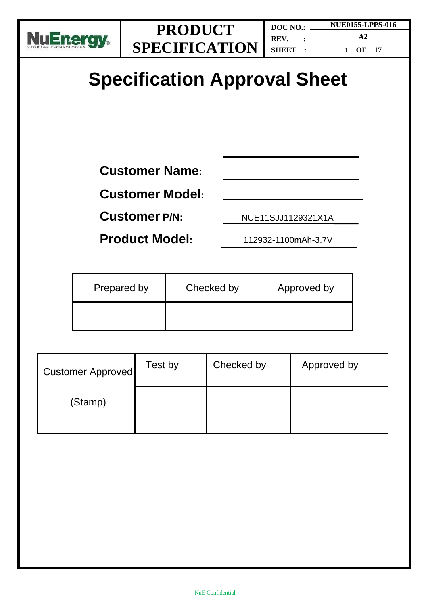

# **Specification Approval Sheet**

**Customer Name:**

**Customer Model:**

**Customer P/N:** NUE11SJJ1129321X1A

**Product Model:** 112932-1100mAh-3.7V

| Prepared by | Checked by | Approved by |
|-------------|------------|-------------|
|             |            |             |

| Customer Approved | Test by | Checked by | Approved by |
|-------------------|---------|------------|-------------|
| (Stamp)           |         |            |             |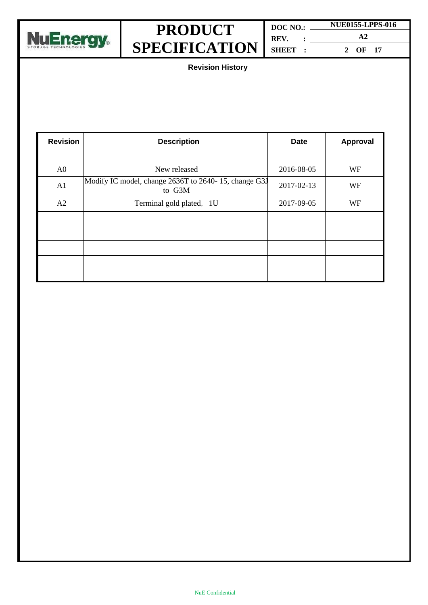

| DOC NO.: | <b>NUE0155-LPPS-016</b> |  |
|----------|-------------------------|--|
| REV. :   | $\mathbf{A}2$           |  |
| SHEET :  | 2 OF 17                 |  |

**Revision History**

| <b>Revision</b> | <b>Description</b>                                             | <b>Date</b> | <b>Approval</b> |
|-----------------|----------------------------------------------------------------|-------------|-----------------|
|                 |                                                                |             |                 |
| A <sub>0</sub>  | New released                                                   | 2016-08-05  | WF              |
| A1              | Modify IC model, change 2636T to 2640-15, change G3J<br>to G3M | 2017-02-13  | WF              |
| A2              | Terminal gold plated, 1U                                       | 2017-09-05  | WF              |
|                 |                                                                |             |                 |
|                 |                                                                |             |                 |
|                 |                                                                |             |                 |
|                 |                                                                |             |                 |
|                 |                                                                |             |                 |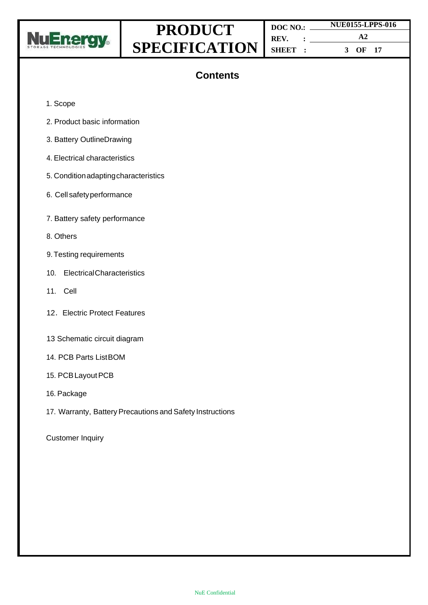

| DOC NO. |  |               |         | <b>NUE0155-LPPS-016</b> |
|---------|--|---------------|---------|-------------------------|
| REV.    |  | $\mathbf{A}2$ |         |                         |
| SHEET : |  |               | 3 OF 17 |                         |

### **Contents**

- 1. Scope
- 2. Product basic information
- 3. Battery OutlineDrawing
- 4. Electrical characteristics
- 5. Conditionadaptingcharacteristics
- 6. Cell safetyperformance
- 7. Battery safety performance
- 8. Others
- 9. Testing requirements
- 10. ElectricalCharacteristics
- 11. Cell
- 12. Electric Protect Features
- 13 Schematic circuit diagram
- 14. PCB Parts ListBOM
- 15. PCB Layout PCB
- 16. Package
- 17. Warranty, Battery Precautions and Safety Instructions

Customer Inquiry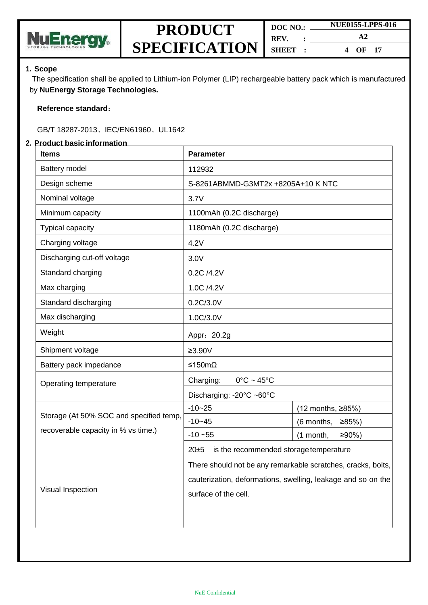

| DOC NO.: | <b>NUE0155-LPPS-016</b> |  |
|----------|-------------------------|--|
| REV. :   | $\mathbf{A}2$           |  |
| SHEET :  | OF 17<br>$\mathbf 4$    |  |

#### **1. Scope**

The specification shall be applied to Lithium-ion Polymer (LIP) rechargeable battery pack which is manufactured by **NuEnergy Storage Technologies.**

#### **Reference standard**:

#### GB/T 18287-2013、IEC/EN61960、UL1642

#### **2. Product basic information**

| <b>Items</b>                            | <b>Parameter</b>                                                                                                                                     |                       |  |  |
|-----------------------------------------|------------------------------------------------------------------------------------------------------------------------------------------------------|-----------------------|--|--|
| <b>Battery model</b>                    | 112932                                                                                                                                               |                       |  |  |
| Design scheme                           | S-8261ABMMD-G3MT2x +8205A+10 K NTC                                                                                                                   |                       |  |  |
| Nominal voltage                         | 3.7V                                                                                                                                                 |                       |  |  |
| Minimum capacity                        | 1100mAh (0.2C discharge)                                                                                                                             |                       |  |  |
| Typical capacity                        | 1180mAh (0.2C discharge)                                                                                                                             |                       |  |  |
| Charging voltage                        | 4.2V                                                                                                                                                 |                       |  |  |
| Discharging cut-off voltage             | 3.0V                                                                                                                                                 |                       |  |  |
| Standard charging                       | 0.2C /4.2V                                                                                                                                           |                       |  |  |
| Max charging                            | 1.0C /4.2V                                                                                                                                           |                       |  |  |
| Standard discharging                    | 0.2C/3.0V                                                                                                                                            |                       |  |  |
| Max discharging                         | 1.0C/3.0V                                                                                                                                            |                       |  |  |
| Weight                                  | Appr: 20.2g                                                                                                                                          |                       |  |  |
| Shipment voltage                        | $≥3.90V$                                                                                                                                             |                       |  |  |
| Battery pack impedance                  | ≤150mΩ                                                                                                                                               |                       |  |  |
| Operating temperature                   | Charging:<br>$0^{\circ}$ C ~ 45 $^{\circ}$ C                                                                                                         |                       |  |  |
|                                         | Discharging: -20°C ~60°C                                                                                                                             |                       |  |  |
|                                         | $-10 - 25$                                                                                                                                           | (12 months, ≥85%)     |  |  |
| Storage (At 50% SOC and specified temp, | $-10 - 45$                                                                                                                                           | (6 months,<br>≥85%    |  |  |
| recoverable capacity in % vs time.)     | $-10 - 55$                                                                                                                                           | $≥90%$ )<br>(1 month, |  |  |
|                                         | 20±5<br>is the recommended storage temperature                                                                                                       |                       |  |  |
| Visual Inspection                       | There should not be any remarkable scratches, cracks, bolts,<br>cauterization, deformations, swelling, leakage and so on the<br>surface of the cell. |                       |  |  |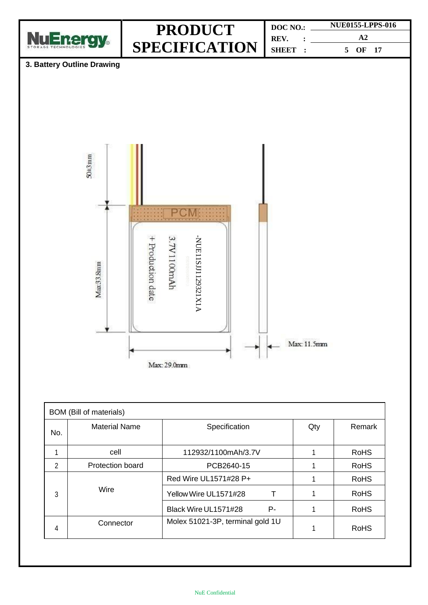

| <b>BOM</b> (Bill of materials) |                         |                                  |     |             |  |  |
|--------------------------------|-------------------------|----------------------------------|-----|-------------|--|--|
| No.                            | <b>Material Name</b>    | Specification                    | Qty | Remark      |  |  |
|                                | cell                    | 112932/1100mAh/3.7V              |     | <b>RoHS</b> |  |  |
| $\mathfrak{p}$                 | <b>Protection board</b> | PCB2640-15                       |     | <b>RoHS</b> |  |  |
| 3                              |                         | Red Wire UL1571#28 P+            |     | <b>RoHS</b> |  |  |
|                                | Wire                    | Yellow Wire UL1571#28            |     | <b>RoHS</b> |  |  |
|                                |                         | Black Wire UL1571#28<br>Р-       |     | <b>RoHS</b> |  |  |
| 4                              | Connector               | Molex 51021-3P, terminal gold 1U |     | <b>RoHS</b> |  |  |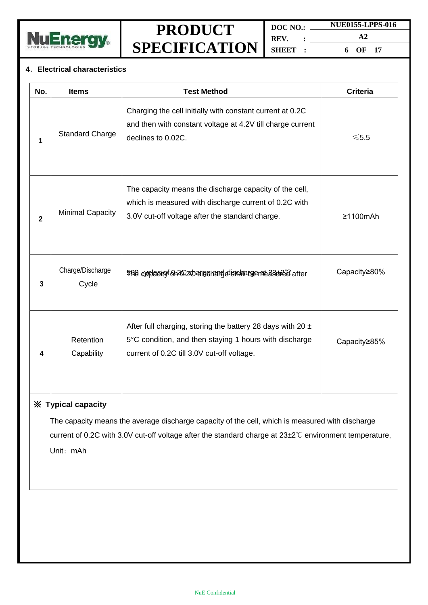

**DOC NO.: REV. : SHEET : NUE0155-LPPS-016 A2 6 OF 17**

#### **4**.**Electrical characteristics**

| No.          | <b>Items</b>              | <b>Test Method</b>                                                                                                                                                     | <b>Criteria</b> |
|--------------|---------------------------|------------------------------------------------------------------------------------------------------------------------------------------------------------------------|-----------------|
| 1            | <b>Standard Charge</b>    | Charging the cell initially with constant current at 0.2C<br>and then with constant voltage at 4.2V till charge current<br>declines to 0.02C.                          | $≤5.5$          |
| $\mathbf{2}$ | <b>Minimal Capacity</b>   | The capacity means the discharge capacity of the cell,<br>which is measured with discharge current of 0.2C with<br>3.0V cut-off voltage after the standard charge.     | $\geq$ 1100mAh  |
| 3            | Charge/Discharge<br>Cycle | 500 caplesiny on 20 20 atiserand distributed as the diate of after                                                                                                     | Capacity≥80%    |
| 4            | Retention<br>Capability   | After full charging, storing the battery 28 days with 20 $\pm$<br>5°C condition, and then staying 1 hours with discharge<br>current of 0.2C till 3.0V cut-off voltage. | Capacity≥85%    |

#### ※ **Typical capacity**

The capacity means the average discharge capacity of the cell, which is measured with discharge current of 0.2C with 3.0V cut-off voltage after the standard charge at 23±2℃ environment temperature, Unit: mAh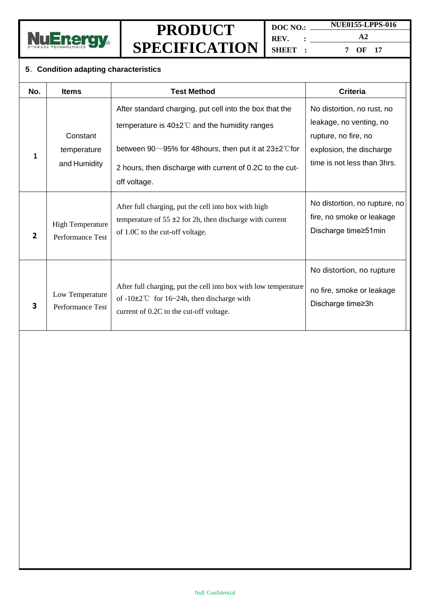

**DOC NO.: REV. : SHEET : NUE0155-LPPS-016**

**A2 7 OF 17**

#### **5**.**Condition adapting characteristics**

| No.                     | <b>Items</b>                                | <b>Test Method</b>                                                                                                                                                 | <b>Criteria</b>                                                                    |
|-------------------------|---------------------------------------------|--------------------------------------------------------------------------------------------------------------------------------------------------------------------|------------------------------------------------------------------------------------|
|                         | Constant                                    | After standard charging, put cell into the box that the<br>temperature is $40\pm2^{\circ}$ and the humidity ranges                                                 | No distortion, no rust, no<br>leakage, no venting, no<br>rupture, no fire, no      |
| 1                       | temperature<br>and Humidity                 | between 90 $\sim$ 95% for 48 hours, then put it at 23 $\pm$ 2° C for<br>2 hours, then discharge with current of 0.2C to the cut-<br>off voltage.                   | explosion, the discharge<br>time is not less than 3hrs.                            |
| $\overline{\mathbf{2}}$ | <b>High Temperature</b><br>Performance Test | After full charging, put the cell into box with high<br>temperature of $55 \pm 2$ for 2h, then discharge with current<br>of 1.0C to the cut-off voltage.           | No distortion, no rupture, no<br>fire, no smoke or leakage<br>Discharge time≥51min |
| 3                       | Low Temperature<br>Performance Test         | After full charging, put the cell into box with low temperature<br>of $-10\pm2^{\circ}$ for 16~24h, then discharge with<br>current of 0.2C to the cut-off voltage. | No distortion, no rupture<br>no fire, smoke or leakage<br>Discharge time≥3h        |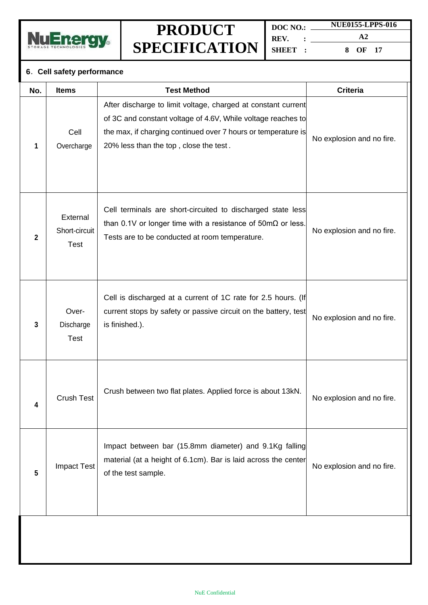

**DOC NO.: REV. : SHEET : NUE0155-LPPS-016 A2**

**8 OF 17**

### **6**.**Cell safety performance**

| No.            | <b>Items</b>                             | <b>Test Method</b>                                                                                                                                                                                                                       | <b>Criteria</b>           |
|----------------|------------------------------------------|------------------------------------------------------------------------------------------------------------------------------------------------------------------------------------------------------------------------------------------|---------------------------|
| 1              | Cell<br>Overcharge                       | After discharge to limit voltage, charged at constant current<br>of 3C and constant voltage of 4.6V, While voltage reaches to<br>the max, if charging continued over 7 hours or temperature is<br>20% less than the top, close the test. | No explosion and no fire. |
| $\overline{2}$ | External<br>Short-circuit<br><b>Test</b> | Cell terminals are short-circuited to discharged state less<br>than 0.1V or longer time with a resistance of $50 \text{m}\Omega$ or less.<br>Tests are to be conducted at room temperature.                                              | No explosion and no fire. |
| 3              | Over-<br>Discharge<br><b>Test</b>        | Cell is discharged at a current of 1C rate for 2.5 hours. (If<br>current stops by safety or passive circuit on the battery, test<br>is finished.).                                                                                       | No explosion and no fire. |
| 4              | <b>Crush Test</b>                        | Crush between two flat plates. Applied force is about 13kN.                                                                                                                                                                              | No explosion and no fire. |
| 5              | <b>Impact Test</b>                       | Impact between bar (15.8mm diameter) and 9.1Kg falling<br>material (at a height of 6.1cm). Bar is laid across the center<br>of the test sample.                                                                                          | No explosion and no fire. |
|                |                                          |                                                                                                                                                                                                                                          |                           |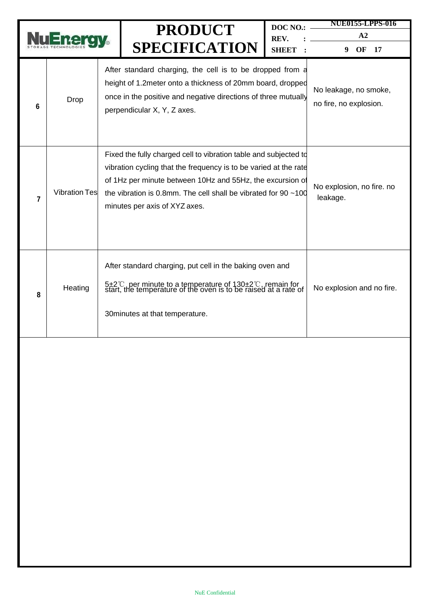|                |                      | <b>PRODUCT</b><br><b>SPECIFICATION</b>                                                                                                                                                                                                                                                                     | DOC NO.:<br>REV.<br><b>SHEET</b> | <b>NUE0155-LPPS-016</b><br>A2<br>OF<br>9<br>17  |
|----------------|----------------------|------------------------------------------------------------------------------------------------------------------------------------------------------------------------------------------------------------------------------------------------------------------------------------------------------------|----------------------------------|-------------------------------------------------|
| 6              | Drop                 | After standard charging, the cell is to be dropped from a<br>height of 1.2 meter onto a thickness of 20 mm board, dropped<br>once in the positive and negative directions of three mutually<br>perpendicular X, Y, Z axes.                                                                                 |                                  | No leakage, no smoke,<br>no fire, no explosion. |
| $\overline{7}$ | <b>Vibration Tes</b> | Fixed the fully charged cell to vibration table and subjected to<br>vibration cycling that the frequency is to be varied at the rate<br>of 1Hz per minute between 10Hz and 55Hz, the excursion of<br>the vibration is 0.8mm. The cell shall be vibrated for 90 $\sim$ 100<br>minutes per axis of XYZ axes. |                                  | No explosion, no fire. no<br>leakage.           |
| 8              | Heating              | After standard charging, put cell in the baking oven and<br>5±2°C, per minute to a temperature of 130±2°C, remain for<br>start, the temperature of the oven is to be raised at a rate of<br>30 minutes at that temperature.                                                                                |                                  | No explosion and no fire.                       |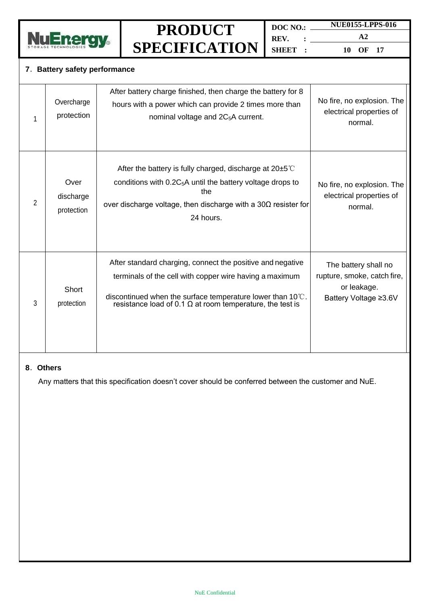

**DOC NO.: REV. : SHEET : NUE0155-LPPS-016 A2**

**10 OF 17**

#### **7**.**Battery safety performance**

| 1 | Overcharge<br>protection        | After battery charge finished, then charge the battery for 8<br>hours with a power which can provide 2 times more than<br>nominal voltage and 2C <sub>5</sub> A current.                                                                                          | No fire, no explosion. The<br>electrical properties of<br>normal.                           |
|---|---------------------------------|-------------------------------------------------------------------------------------------------------------------------------------------------------------------------------------------------------------------------------------------------------------------|---------------------------------------------------------------------------------------------|
| 2 | Over<br>discharge<br>protection | After the battery is fully charged, discharge at $20\pm5^{\circ}$<br>conditions with $0.2C_5A$ until the battery voltage drops to<br>the<br>over discharge voltage, then discharge with a $30\Omega$ resister for<br>24 hours.                                    | No fire, no explosion. The<br>electrical properties of<br>normal.                           |
| 3 | Short<br>protection             | After standard charging, connect the positive and negative<br>terminals of the cell with copper wire having a maximum<br>discontinued when the surface temperature lower than $10^{\circ}$ C.<br>resistance load of 0.1 $\Omega$ at room temperature, the test is | The battery shall no<br>rupture, smoke, catch fire,<br>or leakage.<br>Battery Voltage ≥3.6V |

#### **8**.**Others**

Any matters that this specification doesn't cover should be conferred between the customer and NuE.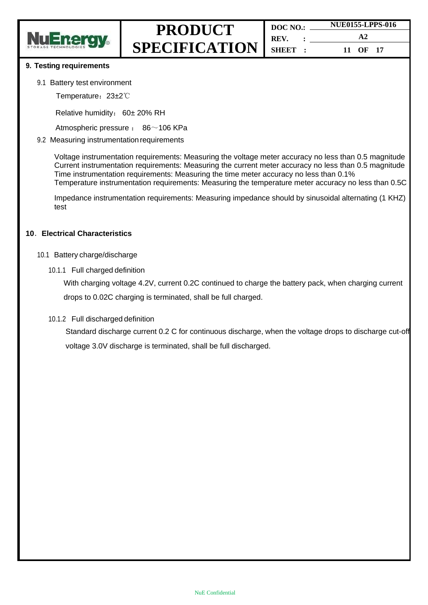

#### **9. Testing requirements**

#### 9.1 Battery test environment

Temperature: 23±2℃

Relative humidity: 60± 20% RH

Atmospheric pressure : 86~106 KPa

#### 9.2 Measuring instrumentation requirements

Voltage instrumentation requirements: Measuring the voltage meter accuracy no less than 0.5 magnitude Current instrumentation requirements: Measuring the current meter accuracy no less than 0.5 magnitude Time instrumentation requirements: Measuring the time meter accuracy no less than 0.1% Temperature instrumentation requirements: Measuring the temperature meter accuracy no less than 0.5C

Impedance instrumentation requirements: Measuring impedance should by sinusoidal alternating (1 KHZ) test

#### **10**.**Electrical Characteristics**

- 10.1 Battery charge/discharge
	- 10.1.1 Full charged definition

With charging voltage 4.2V, current 0.2C continued to charge the battery pack, when charging current

drops to 0.02C charging is terminated, shall be full charged.

10.1.2 Full discharged definition

Standard discharge current 0.2 C for continuous discharge, when the voltage drops to discharge cut-off voltage 3.0V discharge is terminated, shall be full discharged.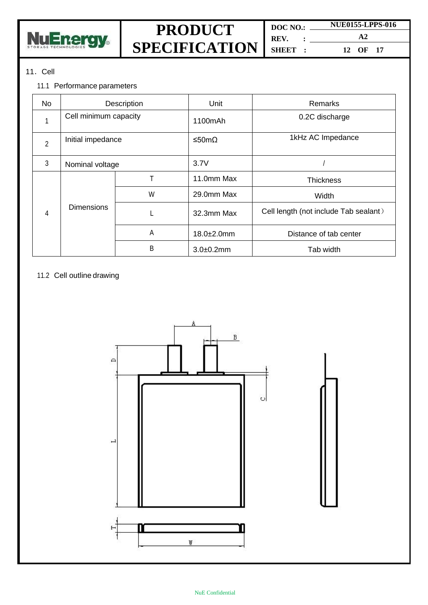

**DOC NO.: REV. : SHEET :**

**NUE0155-LPPS-016 A2 12 OF 17**

### 11.Cell

#### 11.1 Performance parameters

| <b>No</b>      | Description           |   | Unit           | Remarks                               |
|----------------|-----------------------|---|----------------|---------------------------------------|
|                | Cell minimum capacity |   | 1100mAh        | 0.2C discharge                        |
| $\overline{2}$ | Initial impedance     |   | ≤50mΩ          | 1kHz AC Impedance                     |
| 3              | Nominal voltage       |   | 3.7V           |                                       |
|                | <b>Dimensions</b>     |   | 11.0mm Max     | <b>Thickness</b>                      |
|                |                       | W | 29.0mm Max     | Width                                 |
| 4              |                       | L | 32.3mm Max     | Cell length (not include Tab sealant) |
|                |                       | Α | 18.0±2.0mm     | Distance of tab center                |
|                |                       | B | $3.0 + 0.2$ mm | Tab width                             |

#### 11.2 Cell outline drawing

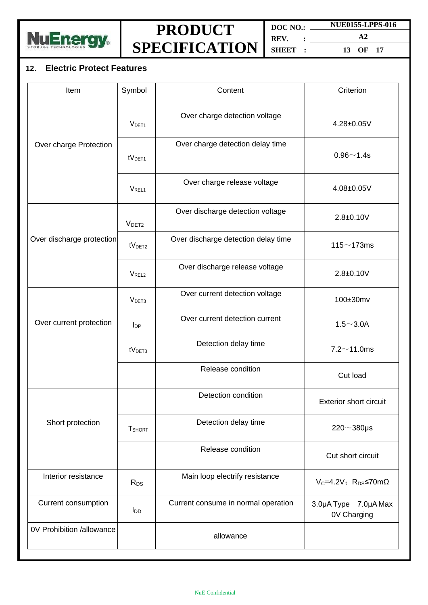

**DOC NO.: REV. : SHEET : NUE0155-LPPS-016 A2**

**13 OF 17**

### **12**. **Electric Protect Features**

| Item                      | Symbol             | Content                             | Criterion                                          |
|---------------------------|--------------------|-------------------------------------|----------------------------------------------------|
|                           | V <sub>DET1</sub>  | Over charge detection voltage       | 4.28±0.05V                                         |
| Over charge Protection    | tV <sub>DET1</sub> | Over charge detection delay time    | $0.96 - 1.4s$                                      |
|                           | V <sub>REL1</sub>  | Over charge release voltage         | 4.08±0.05V                                         |
|                           | V <sub>DET2</sub>  | Over discharge detection voltage    | $2.8 + 0.10V$                                      |
| Over discharge protection | tV <sub>DET2</sub> | Over discharge detection delay time | 115 $\sim$ 173ms                                   |
|                           | V <sub>REL2</sub>  | Over discharge release voltage      | $2.8 + 0.10V$                                      |
|                           | V <sub>DET3</sub>  | Over current detection voltage      | 100±30mv                                           |
| Over current protection   | $I_{DP}$           | Over current detection current      | $1.5 - 3.0A$                                       |
|                           | tV <sub>DET3</sub> | Detection delay time                | $7.2 \sim 11.0$ ms                                 |
|                           |                    | Release condition                   | Cut load                                           |
|                           |                    | Detection condition                 | <b>Exterior short circuit</b>                      |
| Short protection          | <b>T</b> SHORT     | Detection delay time                | $220 \sim 380 \mu s$                               |
|                           |                    | Release condition                   | Cut short circuit                                  |
| Interior resistance       | $R_{DS}$           | Main loop electrify resistance      | $V_c = 4.2V$ ; R <sub>DS</sub> $\leq$ 70m $\Omega$ |
| Current consumption       | $I_{DD}$           | Current consume in normal operation | 3.0µA Type 7.0µA Max<br>0V Charging                |
| 0V Prohibition /allowance |                    | allowance                           |                                                    |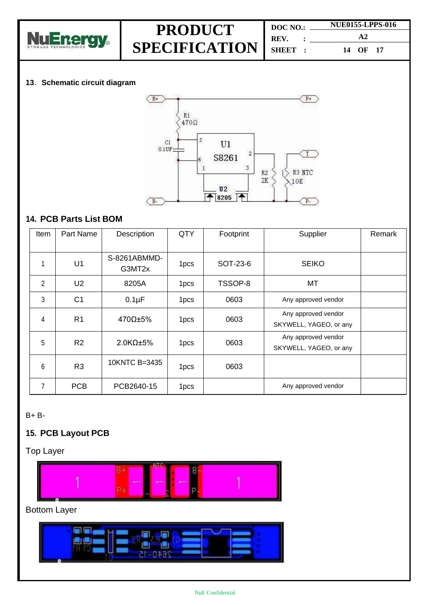

| DOC NO.: |  | <b>NUE0155-LPPS-016</b> |  |
|----------|--|-------------------------|--|
| REV. :   |  | $\mathbf{A}2$           |  |
| SHEET :  |  | 14 OF 17                |  |

#### **13**.**Schematic circuit diagram**



### **14. PCB Parts List BOM**

| <b>Item</b>    | Part Name      | Description            | <b>QTY</b>       | Footprint | Supplier                                      | Remark |
|----------------|----------------|------------------------|------------------|-----------|-----------------------------------------------|--------|
|                |                |                        |                  |           |                                               |        |
| 1              | U1             | S-8261ABMMD-<br>G3MT2x | 1pcs             | SOT-23-6  | <b>SEIKO</b>                                  |        |
| $\overline{2}$ | U <sub>2</sub> | 8205A                  | 1 <sub>pcs</sub> | TSSOP-8   | MT                                            |        |
| 3              | C <sub>1</sub> | $0.1\mu F$             | 1 <sub>pcs</sub> | 0603      | Any approved vendor                           |        |
| 4              | R <sub>1</sub> | 470Ω±5%                | 1 <sub>pcs</sub> | 0603      | Any approved vendor<br>SKYWELL, YAGEO, or any |        |
| 5              | R <sub>2</sub> | $2.0K\Omega$ ±5%       | 1 <sub>pcs</sub> | 0603      | Any approved vendor<br>SKYWELL, YAGEO, or any |        |
| 6              | R <sub>3</sub> | 10KNTC B=3435          | 1 <sub>pcs</sub> | 0603      |                                               |        |
| 7              | <b>PCB</b>     | PCB2640-15             | 1 <sub>pcs</sub> |           | Any approved vendor                           |        |

B+ B-

### **15. PCB Layout PCB**

Top Layer



### Bottom Layer

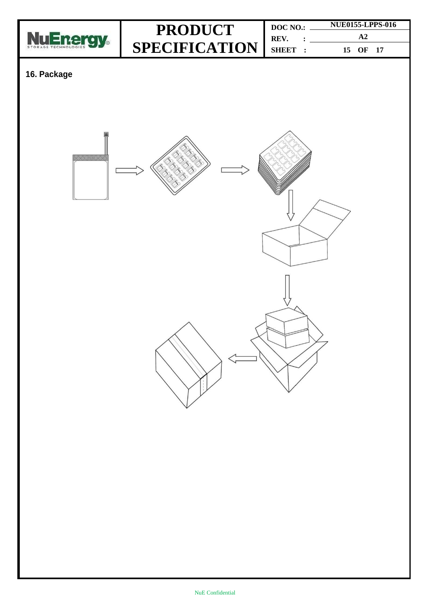

|                           | DOC NO. | <b>NUE0155-LPPS-016</b> |
|---------------------------|---------|-------------------------|
| <b>PRODUCT</b>            | REV.    |                         |
| $SPECTFICATION$ $SHEET$ : |         | 15 OF 17                |

### **16. Package**

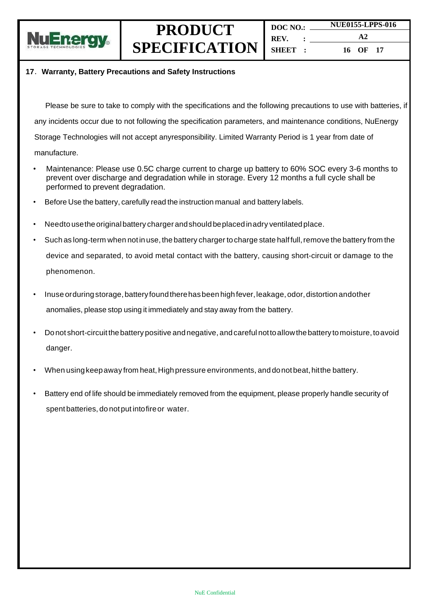

**DOC NO.: REV. : SHEET : NUE0155-LPPS-016 A2 16 OF 17**

#### **17**.**Warranty, Battery Precautions and Safety Instructions**

Please be sure to take to comply with the specifications and the following precautions to use with batteries, if any incidents occur due to not following the specification parameters, and maintenance conditions, NuEnergy Storage Technologies will not accept anyresponsibility. Limited Warranty Period is 1 year from date of manufacture.

- Maintenance: Please use 0.5C charge current to charge up battery to 60% SOC every 3-6 months to prevent over discharge and degradation while in storage. Every 12 months a full cycle shall be performed to prevent degradation.
- Before Use the battery, carefully read the instruction manual and battery labels.
- Needto usetheoriginalbattery charger andshould beplacedinadry ventilatedplace.
- Such as long-term when not in use, the battery charger to charge state half full, remove the battery from the device and separated, to avoid metal contact with the battery, causing short-circuit or damage to the phenomenon.
- Inuse orduring storage, battery found there has been high fever, leakage, odor, distortion andother anomalies, please stop using it immediately and stay away from the battery.
- Donot short-circuitthebattery positive andnegative, andcareful nottoallowthe battery tomoisture, toavoid danger.
- When usingkeepaway from heat,Highpressure environments, and donotbeat,hitthe battery.
- Battery end of life should be immediately removed from the equipment, please properly handle security of spent batteries, do notput intofireor water.